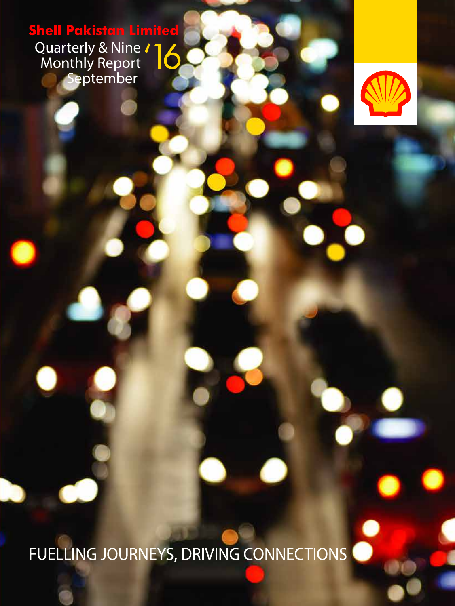**Shell Pakistan Limited** Quarterly & Nine Á Monthly Report September



FUELLING JOURNEYS, DRIVING CONNECTIONS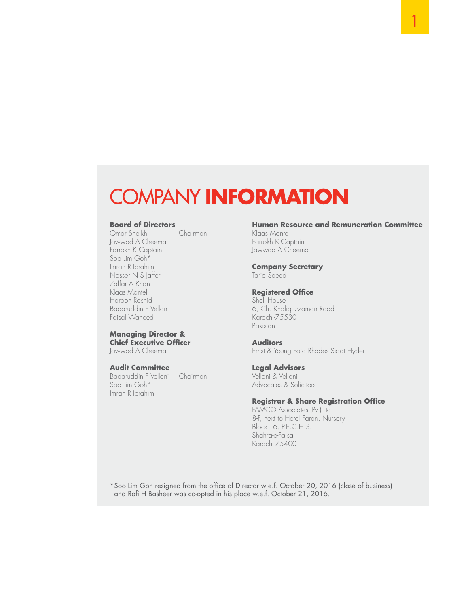### COMPANY **INFORMATION**

**Board of Directors**<br> **Chairman**<br>
Chairman Omar Sheikh Jawwad A Cheema Farrokh K Captain Soo Lim Goh\* Imran R Ibrahim Nasser N S Jaffer Zaffar A Khan Klaas Mantel Haroon Rashid Badaruddin F Vellani Faisal Waheed

#### **Managing Director & Chief Executive Officer**

Jawwad A Cheema

#### **Audit Committee**

Badaruddin F Vellani Chairman Soo Lim Goh\* Imran R Ibrahim

#### **Human Resource and Remuneration Committee**

Klaas Mantel Farrokh K Captain Jawwad A Cheema

### **Company Secretary**

Tariq Saeed

#### **Registered Office**

Shell House 6, Ch. Khaliquzzaman Road Karachi-75530 Pakistan

#### **Auditors**

Ernst & Young Ford Rhodes Sidat Hyder

#### **Legal Advisors**

Vellani & Vellani Advocates & Solicitors

#### **Registrar & Share Registration Office**

FAMCO Associates (Pvt) Ltd. 8-F, next to Hotel Faran, Nursery Block - 6, P.E.C.H.S. Shahra-e-Faisal Karachi-75400

\*Soo Lim Goh resigned from the office of Director w.e.f. October 20, 2016 (close of business) and Rafi H Basheer was co-opted in his place w.e.f. October 21, 2016.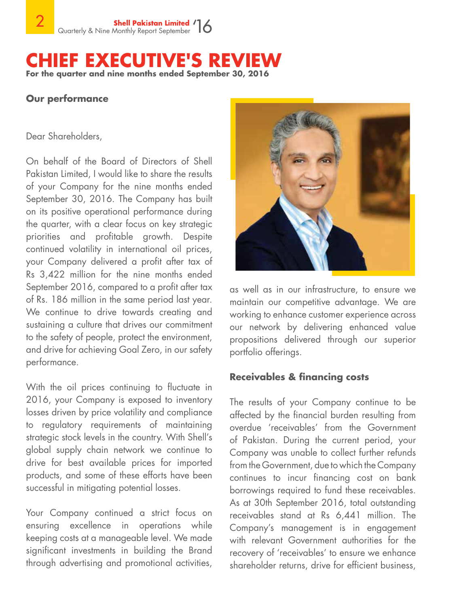### **CHIEF EXECUTIVE'S REVIEW For the quarter and nine months ended September 30, 2016**

### **Our performance**

Dear Shareholders,

On behalf of the Board of Directors of Shell Pakistan Limited, I would like to share the results of your Company for the nine months ended September 30, 2016. The Company has built on its positive operational performance during the quarter, with a clear focus on key strategic priorities and profitable growth. Despite continued volatility in international oil prices, your Company delivered a profit after tax of Rs 3,422 million for the nine months ended September 2016, compared to a profit after tax of Rs. 186 million in the same period last year. We continue to drive towards creating and sustaining a culture that drives our commitment to the safety of people, protect the environment, and drive for achieving Goal Zero, in our safety performance.

With the oil prices continuing to fluctuate in 2016, your Company is exposed to inventory losses driven by price volatility and compliance to regulatory requirements of maintaining strategic stock levels in the country. With Shell's global supply chain network we continue to drive for best available prices for imported products, and some of these efforts have been successful in mitigating potential losses.

Your Company continued a strict focus on ensuring excellence in operations while keeping costs at a manageable level. We made significant investments in building the Brand through advertising and promotional activities,



as well as in our infrastructure, to ensure we maintain our competitive advantage. We are working to enhance customer experience across our network by delivering enhanced value propositions delivered through our superior portfolio offerings.

### **Receivables & financing costs**

The results of your Company continue to be affected by the financial burden resulting from overdue 'receivables' from the Government of Pakistan. During the current period, your Company was unable to collect further refunds from the Government, due to which the Company continues to incur financing cost on bank borrowings required to fund these receivables. As at 30th September 2016, total outstanding receivables stand at Rs 6,441 million. The Company's management is in engagement with relevant Government authorities for the recovery of 'receivables' to ensure we enhance shareholder returns, drive for efficient business,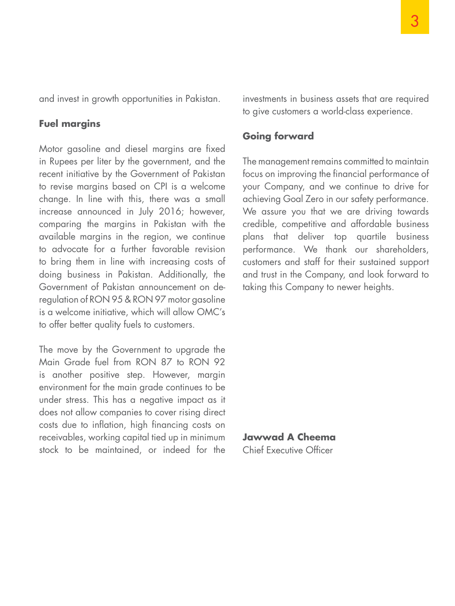and invest in growth opportunities in Pakistan.

### **Fuel margins**

Motor gasoline and diesel margins are fixed in Rupees per liter by the government, and the recent initiative by the Government of Pakistan to revise margins based on CPI is a welcome change. In line with this, there was a small increase announced in July 2016; however, comparing the margins in Pakistan with the available margins in the region, we continue to advocate for a further favorable revision to bring them in line with increasing costs of doing business in Pakistan. Additionally, the Government of Pakistan announcement on deregulation of RON 95 & RON 97 motor gasoline is a welcome initiative, which will allow OMC's to offer better quality fuels to customers.

The move by the Government to upgrade the Main Grade fuel from RON 87 to RON 92 is another positive step. However, margin environment for the main grade continues to be under stress. This has a negative impact as it does not allow companies to cover rising direct costs due to inflation, high financing costs on receivables, working capital tied up in minimum stock to be maintained, or indeed for the investments in business assets that are required to give customers a world-class experience.

### **Going forward**

The management remains committed to maintain focus on improving the financial performance of your Company, and we continue to drive for achieving Goal Zero in our safety performance. We assure you that we are driving towards credible, competitive and affordable business plans that deliver top quartile business performance. We thank our shareholders, customers and staff for their sustained support and trust in the Company, and look forward to taking this Company to newer heights.

**Jawwad A Cheema** Chief Executive Officer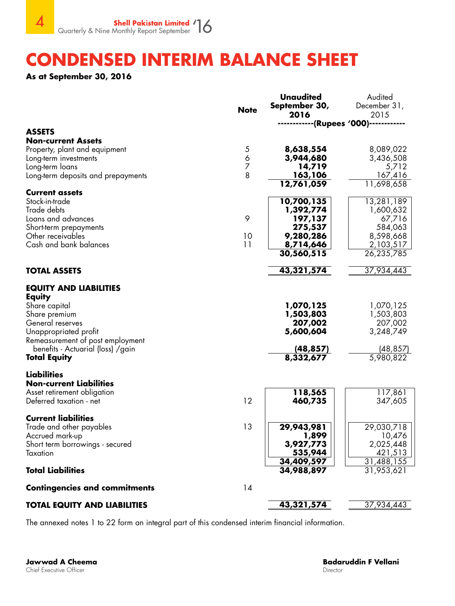### **CONDENSED INTERIM BALANCE SHEET**

**As at September 30, 2016** 

|                                                                                                                                                                                                                                | <b>Note</b>                   | <b>Unaudited</b><br>September 30,<br>2016                                                           | Audited<br>December 31,<br>2015                                                                    |
|--------------------------------------------------------------------------------------------------------------------------------------------------------------------------------------------------------------------------------|-------------------------------|-----------------------------------------------------------------------------------------------------|----------------------------------------------------------------------------------------------------|
|                                                                                                                                                                                                                                |                               |                                                                                                     |                                                                                                    |
| <b>ASSETS</b><br><b>Non-current Assets</b><br>Property, plant and equipment<br>Long-term investments<br>Long-term loans<br>Long-term deposits and prepayments                                                                  | 5<br>6<br>$\overline{z}$<br>8 | 8,638,554<br>3,944,680<br>14,719<br>163,106                                                         | 8,089,022<br>3,436,508<br>5,712<br>167,416                                                         |
| <b>Current assets</b><br>Stock-in-trade<br>Trade debts<br>Loans and advances<br>Short-term prepayments<br>Other receivables<br>Cash and bank balances                                                                          | 9<br>10<br>11                 | 12,761,059<br>10,700,135<br>1,392,774<br>197,137<br>275,537<br>9,280,286<br>8,714,646<br>30,560,515 | 11,698,658<br>13,281,189<br>1,600,632<br>67,716<br>584,063<br>8,598,668<br>2,103,517<br>26,235,785 |
| <b>TOTAL ASSETS</b>                                                                                                                                                                                                            |                               | 43,321,574                                                                                          | 37,934,443                                                                                         |
| <b>EQUITY AND LIABILITIES</b><br><b>Equity</b><br>Share capital<br>Share premium<br>General reserves<br>Unappropriated profit<br>Remeasurement of post employment<br>benefits - Actuarial (loss) / gain<br><b>Total Equity</b> |                               | 1,070,125<br>1,503,803<br>207,002<br>5,600,604<br>(48, 857)<br>8,332,677                            | 1,070,125<br>1,503,803<br>207,002<br>3,248,749<br>(48,857)<br>5,980,822                            |
| <b>Liabilities</b><br><b>Non-current Liabilities</b><br>Asset retirement obligation<br>Deferred taxation - net                                                                                                                 | 12                            | 118,565<br>460,735                                                                                  | 117,861<br>347,605                                                                                 |
| <b>Current liabilities</b><br>Trade and other payables<br>Accrued mark-up<br>Short term borrowings - secured<br>Taxation<br><b>Total Liabilities</b>                                                                           | 13                            | 29,943,981<br>1,899<br>3,927,773<br>535,944<br>34,409,597<br>34,988,897                             | 29,030,718<br>10,476<br>2,025,448<br>421,513<br>31,488,155<br>31,953,621                           |
| <b>Contingencies and commitments</b>                                                                                                                                                                                           | 14                            |                                                                                                     |                                                                                                    |
| <b>TOTAL EQUITY AND LIABILITIES</b>                                                                                                                                                                                            |                               | 43,321,574                                                                                          | 37,934,443                                                                                         |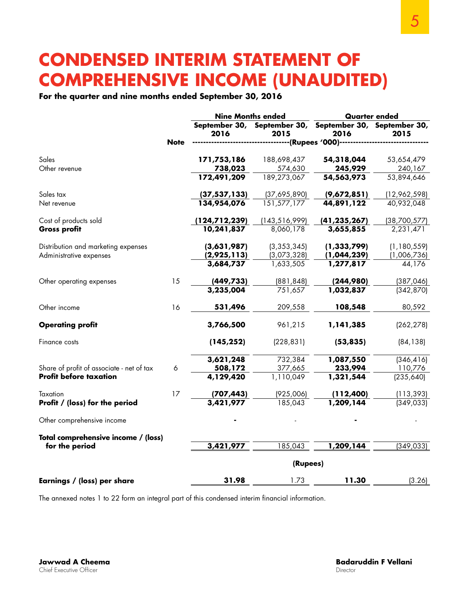### **CONDENSED INTERIM STATEMENT OF COMPREHENSIVE INCOME (UNAUDITED)**

### **For the quarter and nine months ended September 30, 2016**

|                                           |             |                 | <b>Nine Months ended</b><br><b>Quarter ended</b>                |                                 |                        |
|-------------------------------------------|-------------|-----------------|-----------------------------------------------------------------|---------------------------------|------------------------|
|                                           |             | 2016            | September 30, September 30, September 30, September 30,<br>2015 | 2016                            | 2015                   |
|                                           | <b>Note</b> |                 |                                                                 | ---------(Rupees '000)--------- |                        |
| Sales                                     |             | 171,753,186     | 188,698,437                                                     | 54,318,044                      | 53,654,479             |
| Other revenue                             |             | 738,023         | 574,630                                                         | 245,929                         | 240,167                |
|                                           |             | 172,491,209     | 189,273,067                                                     | 54,563,973                      | 53,894,646             |
| Sales tax                                 |             | (37, 537, 133)  | (37,695,890)                                                    | (9,672,851)                     | (12,962,598)           |
| Net revenue                               |             | 134,954,076     | 151,577,177                                                     | 44,891,122                      | 40,932,048             |
| Cost of products sold                     |             | (124, 712, 239) | (143, 516, 999)                                                 | (41, 235, 267)                  | (38,700,577)           |
| <b>Gross profit</b>                       |             | 10,241,837      | 8,060,178                                                       | 3,655,855                       | 2,231,471              |
| Distribution and marketing expenses       |             | (3,631,987)     | (3, 353, 345)                                                   | (1, 333, 799)                   | (1, 180, 559)          |
| Administrative expenses                   |             | (2,925,113)     | (3,073,328)                                                     | (1,044,239)                     | (1,006,736)            |
|                                           |             | 3,684,737       | 1,633,505                                                       | 1,277,817                       | 44,176                 |
| Other operating expenses                  | 15          | (449, 733)      | (881, 848)                                                      | (244,980)                       | (387, 046)             |
|                                           |             | 3,235,004       | 751,657                                                         | 1,032,837                       | (342, 870)             |
| Other income                              | 16          | 531,496         | 209,558                                                         | 108,548                         | 80,592                 |
| <b>Operating profit</b>                   |             | 3,766,500       | 961,215                                                         | 1,141,385                       | (262, 278)             |
| Finance costs                             |             | (145, 252)      | (228, 831)                                                      | (53, 835)                       | (84, 138)              |
|                                           |             | 3,621,248       | 732,384                                                         | 1,087,550                       | (346, 416)             |
| Share of profit of associate - net of tax | 6           | 508,172         | 377,665                                                         | 233,994                         | 110,776                |
| <b>Profit before taxation</b>             |             | 4,129,420       | 1,110,049                                                       | 1,321,544                       | $\overline{(235,640)}$ |
| Taxation                                  | 17          | (707, 443)      | (925,006)                                                       | (112,400)                       | (113, 393)             |
| Profit / (loss) for the period            |             | 3,421,977       | 185,043                                                         | 1,209,144                       | (349, 033)             |
| Other comprehensive income                |             |                 |                                                                 |                                 |                        |
| Total comprehensive income / (loss)       |             |                 |                                                                 |                                 |                        |
| for the period                            |             | 3,421,977       | 185,043                                                         | 1,209,144                       | (349, 033)             |
|                                           |             |                 | (Rupees)                                                        |                                 |                        |
| Earnings / (loss) per share               |             | 31.98           | 1.73                                                            | 11.30                           | (3.26)                 |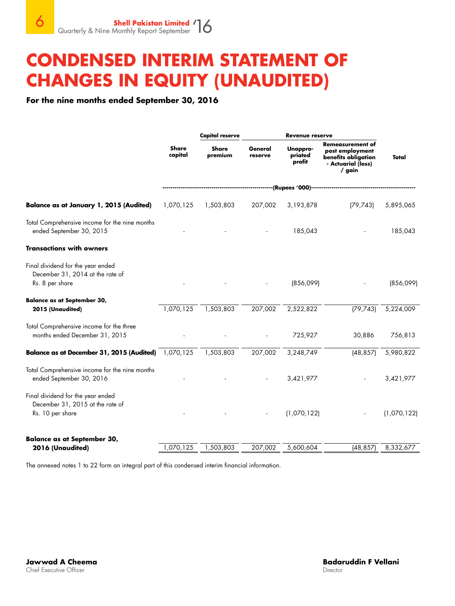### **CONDENSED INTERIM STATEMENT OF CHANGES IN EQUITY (UNAUDITED)**

**For the nine months ended September 30, 2016**

|                                                                                           |                         | <b>Capital reserve</b>  | Revenue reserve    |                                    |                                                                                                     |             |
|-------------------------------------------------------------------------------------------|-------------------------|-------------------------|--------------------|------------------------------------|-----------------------------------------------------------------------------------------------------|-------------|
|                                                                                           | <b>Share</b><br>capital | <b>Share</b><br>premium | General<br>reserve | Unappro-<br>priated<br>profit      | <b>Remeasurement of</b><br>post employment<br>benefits obligation<br>- Actuarial (loss)<br>$/$ gain | Total       |
|                                                                                           |                         |                         |                    | ----(Rupees '000)----------------- |                                                                                                     |             |
| <b>Balance as at January 1, 2015 (Audited)</b>                                            | 1,070,125               | 1,503,803               | 207,002            | 3,193,878                          | (79, 743)                                                                                           | 5,895,065   |
| Total Comprehensive income for the nine months<br>ended September 30, 2015                |                         |                         |                    | 185,043                            |                                                                                                     | 185,043     |
| <b>Transactions with owners</b>                                                           |                         |                         |                    |                                    |                                                                                                     |             |
| Final dividend for the year ended<br>December 31, 2014 at the rate of<br>Rs. 8 per share  |                         |                         |                    | (856,099)                          |                                                                                                     | (856,099)   |
| <b>Balance as at September 30,</b><br>2015 (Unaudited)                                    | 1,070,125               | 1,503,803               | 207,002            | 2,522,822                          | (79, 743)                                                                                           | 5,224,009   |
| Total Comprehensive income for the three<br>months ended December 31, 2015                |                         |                         |                    | 725,927                            | 30,886                                                                                              | 756,813     |
| Balance as at December 31, 2015 (Audited) 1,070,125                                       |                         | 1,503,803               | 207,002            | 3,248,749                          | (48, 857)                                                                                           | 5,980,822   |
| Total Comprehensive income for the nine months<br>ended September 30, 2016                |                         |                         |                    | 3,421,977                          |                                                                                                     | 3,421,977   |
| Final dividend for the year ended<br>December 31, 2015 at the rate of<br>Rs. 10 per share |                         |                         |                    | (1,070,122)                        |                                                                                                     | (1,070,122) |
| <b>Balance as at September 30,</b><br>2016 (Unaudited)                                    | 1,070,125               | 1,503,803               | 207,002            | 5,600,604                          | (48, 857)                                                                                           | 8,332,677   |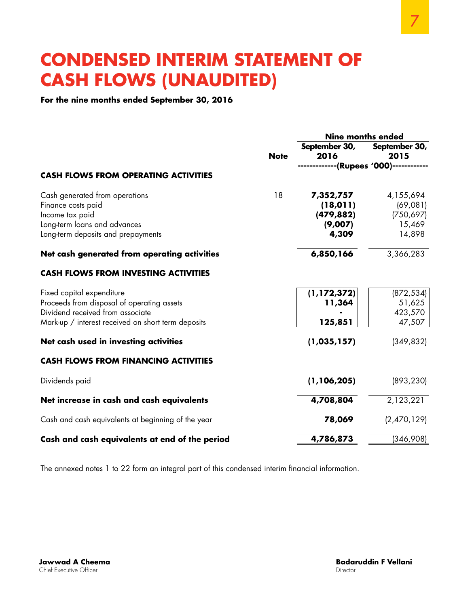### **CONDENSED INTERIM STATEMENT OF CASH FLOWS (UNAUDITED)**

**For the nine months ended September 30, 2016**

|                                                    |             | <b>Nine months ended</b> |                   |  |
|----------------------------------------------------|-------------|--------------------------|-------------------|--|
|                                                    |             | September 30,            | September 30,     |  |
|                                                    | <b>Note</b> | 2016                     | 2015              |  |
| <b>CASH FLOWS FROM OPERATING ACTIVITIES</b>        |             |                          | --(Rupees '000)-- |  |
|                                                    |             |                          |                   |  |
| Cash generated from operations                     | 18          | 7,352,757                | 4,155,694         |  |
| Finance costs paid                                 |             | (18, 011)                | (69,081)          |  |
| Income tax paid                                    |             | (479, 882)               | (750, 697)        |  |
| Long-term loans and advances                       |             | (9,007)                  | 15,469            |  |
| Long-term deposits and prepayments                 |             | 4,309                    | 14,898            |  |
| Net cash generated from operating activities       |             | 6,850,166                | 3,366,283         |  |
| <b>CASH FLOWS FROM INVESTING ACTIVITIES</b>        |             |                          |                   |  |
| Fixed capital expenditure                          |             | (1, 172, 372)            | (872, 534)        |  |
| Proceeds from disposal of operating assets         |             | 11,364                   | 51,625            |  |
| Dividend received from associate                   |             |                          | 423,570           |  |
| Mark-up / interest received on short term deposits |             | 125,851                  | 47,507            |  |
| Net cash used in investing activities              |             | (1, 035, 157)            | (349, 832)        |  |
| <b>CASH FLOWS FROM FINANCING ACTIVITIES</b>        |             |                          |                   |  |
| Dividends paid                                     |             | (1, 106, 205)            | (893, 230)        |  |
| Net increase in cash and cash equivalents          |             | 4,708,804                | 2,123,221         |  |
| Cash and cash equivalents at beginning of the year |             | 78,069                   | (2,470,129)       |  |
| Cash and cash equivalents at end of the period     |             | 4,786,873                | (346,908)         |  |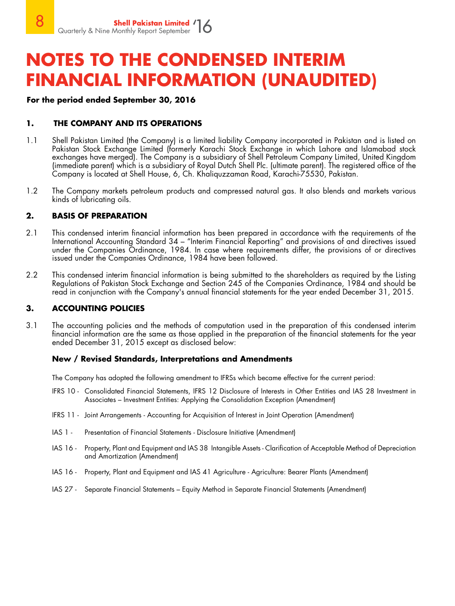### **For the period ended September 30, 2016**

### **1. THE COMPANY AND ITS OPERATIONS**

- 1.1 Shell Pakistan Limited (the Company) is a limited liability Company incorporated in Pakistan and is listed on Pakistan Stock Exchange Limited (formerly Karachi Stock Exchange in which Lahore and Islamabad stock exchanges have merged). The Company is a subsidiary of Shell Petroleum Company Limited, United Kingdom (immediate parent) which is a subsidiary of Royal Dutch Shell Plc. (ultimate parent). The registered office of the Company is located at Shell House, 6, Ch. Khaliquzzaman Road, Karachi-75530, Pakistan.
- 1.2 The Company markets petroleum products and compressed natural gas. It also blends and markets various kinds of lubricating oils.

#### **2. BASIS OF PREPARATION**

- 2.1 This condensed interim financial information has been prepared in accordance with the requirements of the International Accounting Standard 34 – "Interim Financial Reporting" and provisions of and directives issued under the Companies Ordinance, 1984. In case where requirements differ, the provisions of or directives issued under the Companies Ordinance, 1984 have been followed.
- 2.2 This condensed interim financial information is being submitted to the shareholders as required by the Listing Regulations of Pakistan Stock Exchange and Section 245 of the Companies Ordinance, 1984 and should be read in conjunction with the Company's annual financial statements for the year ended December 31, 2015.

### **3. ACCOUNTING POLICIES**

3.1 The accounting policies and the methods of computation used in the preparation of this condensed interim financial information are the same as those applied in the preparation of the financial statements for the year ended December 31, 2015 except as disclosed below:

#### **New / Revised Standards, Interpretations and Amendments**

The Company has adopted the following amendment to IFRSs which became effective for the current period:

- IFRS 10 Consolidated Financial Statements, IFRS 12 Disclosure of Interests in Other Entities and IAS 28 Investment in Associates – Investment Entities: Applying the Consolidation Exception (Amendment)
- IFRS 11 Joint Arrangements Accounting for Acquisition of Interest in Joint Operation (Amendment)
- IAS 1 Presentation of Financial Statements Disclosure Initiative (Amendment)
- IAS 16 Property, Plant and Equipment and IAS 38 Intangible Assets Clarification of Acceptable Method of Depreciation and Amortization (Amendment)
- IAS 16 Property, Plant and Equipment and IAS 41 Agriculture Agriculture: Bearer Plants (Amendment)
- IAS 27 Separate Financial Statements Equity Method in Separate Financial Statements (Amendment)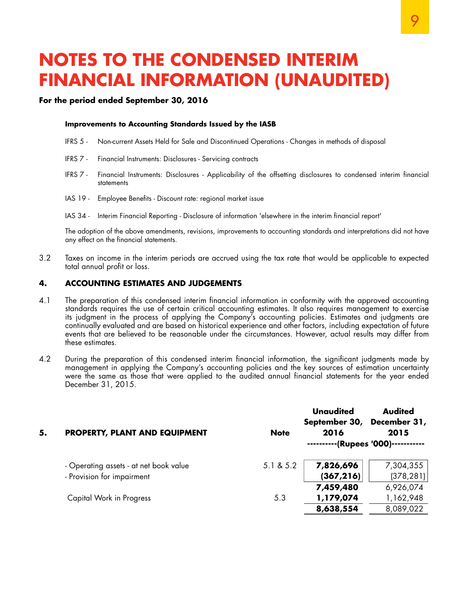#### **For the period ended September 30, 2016**

#### **Improvements to Accounting Standards Issued by the IASB**

- IFRS 5 Non-current Assets Held for Sale and Discontinued Operations Changes in methods of disposal
- IFRS 7 Financial Instruments: Disclosures Servicing contracts
- IFRS 7 Financial Instruments: Disclosures Applicability of the offsetting disclosures to condensed interim financial statements
- IAS 19 Employee Benefits Discount rate: regional market issue
- IAS 34 Interim Financial Reporting Disclosure of information 'elsewhere in the interim financial report'

The adoption of the above amendments, revisions, improvements to accounting standards and interpretations did not have any effect on the financial statements.

3.2 Taxes on income in the interim periods are accrued using the tax rate that would be applicable to expected total annual profit or loss.

#### **4. ACCOUNTING ESTIMATES AND JUDGEMENTS**

- 4.1 The preparation of this condensed interim financial information in conformity with the approved accounting standards requires the use of certain critical accounting estimates. It also requires management to exercise its judgment in the process of applying the Company's accounting policies. Estimates and judgments are continually evaluated and are based on historical experience and other factors, including expectation of future events that are believed to be reasonable under the circumstances. However, actual results may differ from these estimates.
- 4.2 During the preparation of this condensed interim financial information, the significant judgments made by management in applying the Company's accounting policies and the key sources of estimation uncertainty were the same as those that were applied to the audited annual financial statements for the year ended December 31, 2015.

| 5. | <b>PROPERTY, PLANT AND EQUIPMENT</b>   | <b>Note</b> | <b>Unaudited</b><br>September 30, December 31,<br>2016 | <b>Audited</b><br>2015     |
|----|----------------------------------------|-------------|--------------------------------------------------------|----------------------------|
|    |                                        |             |                                                        | --(Rupees '000)----------- |
|    | - Operating assets - at net book value | 5.1 & 5.2   | 7,826,696                                              | 7,304,355                  |
|    | - Provision for impairment             |             | (367, 216)                                             | (378, 281)                 |
|    |                                        |             | 7,459,480                                              | 6,926,074                  |
|    | Capital Work in Progress               | 5.3         | 1,179,074                                              | 1,162,948                  |
|    |                                        |             | 8,638,554                                              | 8,089,022                  |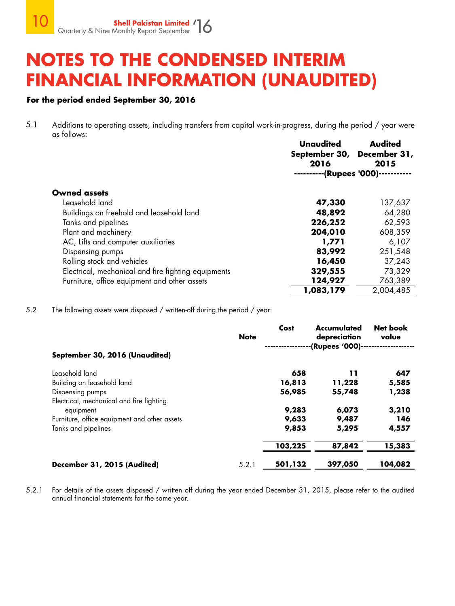### **For the period ended September 30, 2016**

5.1 Additions to operating assets, including transfers from capital work-in-progress, during the period / year were as follows:

|                                                     | Unaudited<br>September 30, December 31,<br>2016<br>-(Rupees '000)- | <b>Audited</b><br>2015 |
|-----------------------------------------------------|--------------------------------------------------------------------|------------------------|
| <b>Owned assets</b>                                 |                                                                    |                        |
| Leasehold land                                      | 47,330                                                             | 137,637                |
| Buildings on freehold and leasehold land            | 48,892                                                             | 64,280                 |
| Tanks and pipelines                                 | 226,252                                                            | 62,593                 |
| Plant and machinery                                 | 204,010                                                            | 608,359                |
| AC, Lifts and computer auxiliaries                  | 1,771                                                              | 6,107                  |
| Dispensing pumps                                    | 83,992                                                             | 251,548                |
| Rolling stock and vehicles                          | 16,450                                                             | 37,243                 |
| Electrical, mechanical and fire fighting equipments | 329,555                                                            | 73,329                 |
| Furniture, office equipment and other assets        | 124,927                                                            | 763,389                |
|                                                     | 1,083,179                                                          | 2,004,485              |

5.2 The following assets were disposed / written-off during the period / year:

|                                              | <b>Note</b> | Cost    | <b>Accumulated</b><br>depreciation<br>-(Rupees '000)- | <b>Net book</b><br>value |
|----------------------------------------------|-------------|---------|-------------------------------------------------------|--------------------------|
| September 30, 2016 (Unaudited)               |             |         |                                                       |                          |
| Leasehold land                               |             | 658     | 11                                                    | 647                      |
| Building on leasehold land                   |             | 16,813  | 11,228                                                | 5,585                    |
| Dispensing pumps                             |             | 56,985  | 55,748                                                | 1,238                    |
| Electrical, mechanical and fire fighting     |             |         |                                                       |                          |
| equipment                                    |             | 9,283   | 6,073                                                 | 3,210                    |
| Furniture, office equipment and other assets |             | 9,633   | 9,487                                                 | 146                      |
| Tanks and pipelines                          |             | 9,853   | 5,295                                                 | 4,557                    |
|                                              |             | 103,225 | 87,842                                                | 15,383                   |
| December 31, 2015 (Audited)                  | 5.2.1       | 501,132 | 397,050                                               | 104,082                  |

5.2.1 For details of the assets disposed / written off during the year ended December 31, 2015, please refer to the audited annual financial statements for the same year.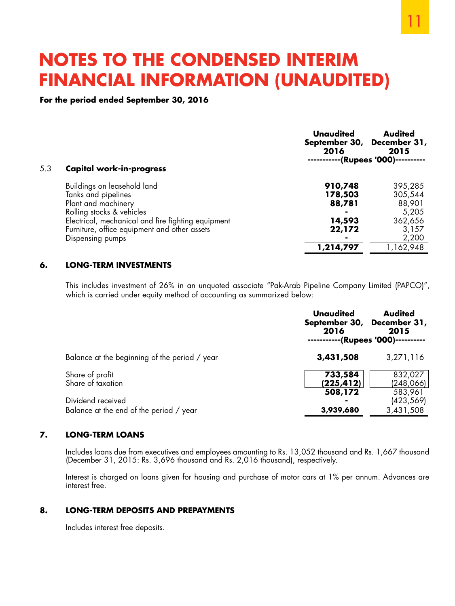**For the period ended September 30, 2016**

| 5.3 | <b>Capital work-in-progress</b>                    | <b>Unaudited</b><br>2016 | <b>Audited</b><br>September 30, December 31,<br>2015<br>-(Rupees '000)- |
|-----|----------------------------------------------------|--------------------------|-------------------------------------------------------------------------|
|     |                                                    |                          |                                                                         |
|     | Buildings on leasehold land                        | 910,748                  | 395,285                                                                 |
|     | Tanks and pipelines                                | 178,503                  | 305,544                                                                 |
|     | Plant and machinery                                | 88,781                   | 88,901                                                                  |
|     | Rolling stocks & vehicles                          |                          | 5,205                                                                   |
|     | Electrical, mechanical and fire fighting equipment | 14,593                   | 362,656                                                                 |
|     | Furniture, office equipment and other assets       | 22,172                   | 3,157                                                                   |
|     | Dispensing pumps                                   |                          | 2,200                                                                   |
|     |                                                    | 1,214,797                | 1,162,948                                                               |

#### **6. LONG-TERM INVESTMENTS**

This includes investment of 26% in an unquoted associate "Pak-Arab Pipeline Company Limited (PAPCO)", which is carried under equity method of accounting as summarized below:

|                                                              | <b>Unaudited</b><br>September 30, December 31,<br>2016 | <b>Audited</b><br>2015<br>(Rupees '000)- |
|--------------------------------------------------------------|--------------------------------------------------------|------------------------------------------|
| Balance at the beginning of the period / year                | 3,431,508                                              | 3,271,116                                |
| Share of profit<br>Share of taxation                         | 733,584<br>(225, 412)                                  | 832,027<br>(248,066)                     |
| Dividend received<br>Balance at the end of the period / year | 508,172<br>3,939,680                                   | 583,961<br>(423,569)<br>3,431,508        |

#### **7. LONG-TERM LOANS**

Includes loans due from executives and employees amounting to Rs. 13,052 thousand and Rs. 1,667 thousand (December 31, 2015: Rs. 3,696 thousand and Rs. 2,016 thousand), respectively.

Interest is charged on loans given for housing and purchase of motor cars at 1% per annum. Advances are interest free.

### **8. LONG-TERM DEPOSITS AND PREPAYMENTS**

Includes interest free deposits.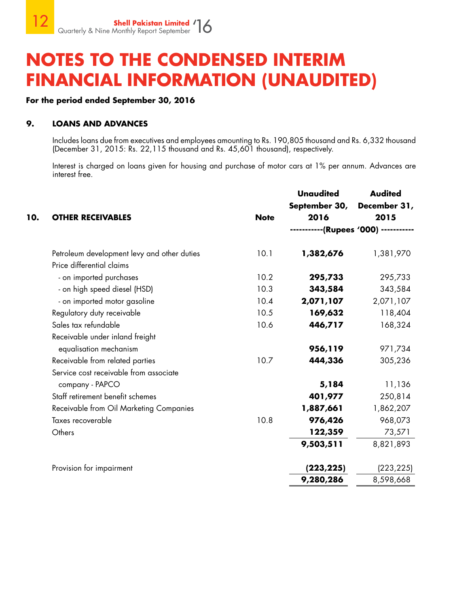### **For the period ended September 30, 2016**

### **9. LOANS AND ADVANCES**

Includes loans due from executives and employees amounting to Rs. 190,805 thousand and Rs. 6,332 thousand (December 31, 2015: Rs. 22,115 thousand and Rs. 45,601 thousand), respectively.

Interest is charged on loans given for housing and purchase of motor cars at 1% per annum. Advances are interest free.

|                                             |             | <b>Unaudited</b> | <b>Audited</b>         |
|---------------------------------------------|-------------|------------------|------------------------|
|                                             |             | September 30,    | December 31,           |
| <b>OTHER RECEIVABLES</b>                    | <b>Note</b> | 2016             | 2015                   |
|                                             |             |                  | --(Rupees '000) ------ |
| Petroleum development levy and other duties | 10.1        | 1,382,676        | 1,381,970              |
| Price differential claims                   |             |                  |                        |
| - on imported purchases                     | 10.2        | 295,733          | 295,733                |
| - on high speed diesel (HSD)                | 10.3        | 343,584          | 343,584                |
| - on imported motor gasoline                | 10.4        | 2,071,107        | 2,071,107              |
| Regulatory duty receivable                  | 10.5        | 169,632          | 118,404                |
| Sales tax refundable                        | 10.6        | 446,717          | 168,324                |
| Receivable under inland freight             |             |                  |                        |
| equalisation mechanism                      |             | 956,119          | 971,734                |
| Receivable from related parties             | 10.7        | 444,336          | 305,236                |
| Service cost receivable from associate      |             |                  |                        |
| company - PAPCO                             |             | 5,184            | 11,136                 |
| Staff retirement benefit schemes            |             | 401,977          | 250,814                |
| Receivable from Oil Marketing Companies     |             | 1,887,661        | 1,862,207              |
| Taxes recoverable                           | 10.8        | 976,426          | 968,073                |
| Others                                      |             | 122,359          | 73,571                 |
|                                             |             | 9,503,511        | 8,821,893              |
| Provision for impairment                    |             | (223, 225)       | (223, 225)             |
|                                             |             | 9,280,286        | 8,598,668              |
|                                             |             |                  |                        |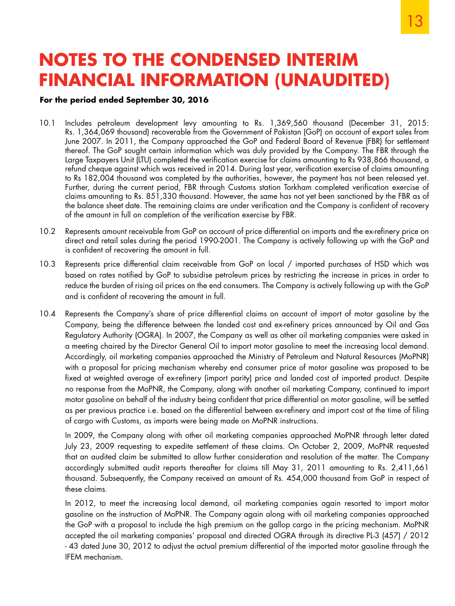### **For the period ended September 30, 2016**

- 10.1 Includes petroleum development levy amounting to Rs. 1,369,560 thousand (December 31, 2015: Rs. 1,364,069 thousand) recoverable from the Government of Pakistan (GoP) on account of export sales from June 2007. In 2011, the Company approached the GoP and Federal Board of Revenue (FBR) for settlement thereof. The GoP sought certain information which was duly provided by the Company. The FBR through the Large Taxpayers Unit (LTU) completed the verification exercise for claims amounting to Rs 938,866 thousand, a refund cheque against which was received in 2014. During last year, verification exercise of claims amounting to Rs 182,004 thousand was completed by the authorities, however, the payment has not been released yet. Further, during the current period, FBR through Customs station Torkham completed verification exercise of claims amounting to Rs. 851,330 thousand. However, the same has not yet been sanctioned by the FBR as of the balance sheet date. The remaining claims are under verification and the Company is confident of recovery of the amount in full on completion of the verification exercise by FBR.
- 10.2 Represents amount receivable from GoP on account of price differential on imports and the ex-refinery price on direct and retail sales during the period 1990-2001. The Company is actively following up with the GoP and is confident of recovering the amount in full.
- 10.3 Represents price differential claim receivable from GoP on local / imported purchases of HSD which was based on rates notified by GoP to subsidise petroleum prices by restricting the increase in prices in order to reduce the burden of rising oil prices on the end consumers. The Company is actively following up with the GoP and is confident of recovering the amount in full.
- 10.4 Represents the Company's share of price differential claims on account of import of motor gasoline by the Company, being the difference between the landed cost and ex-refinery prices announced by Oil and Gas Regulatory Authority (OGRA). In 2007, the Company as well as other oil marketing companies were asked in a meeting chaired by the Director General Oil to import motor gasoline to meet the increasing local demand. Accordingly, oil marketing companies approached the Ministry of Petroleum and Natural Resources (MoPNR) with a proposal for pricing mechanism whereby end consumer price of motor gasoline was proposed to be fixed at weighted average of ex-refinery (import parity) price and landed cost of imported product. Despite no response from the MoPNR, the Company, along with another oil marketing Company, continued to import motor gasoline on behalf of the industry being confident that price differential on motor gasoline, will be settled as per previous practice i.e. based on the differential between ex-refinery and import cost at the time of filing of cargo with Customs, as imports were being made on MoPNR instructions.

In 2009, the Company along with other oil marketing companies approached MoPNR through letter dated July 23, 2009 requesting to expedite settlement of these claims. On October 2, 2009, MoPNR requested that an audited claim be submitted to allow further consideration and resolution of the matter. The Company accordingly submitted audit reports thereafter for claims till May 31, 2011 amounting to Rs. 2,411,661 thousand. Subsequently, the Company received an amount of Rs. 454,000 thousand from GoP in respect of these claims.

In 2012, to meet the increasing local demand, oil marketing companies again resorted to import motor gasoline on the instruction of MoPNR. The Company again along with oil marketing companies approached the GoP with a proposal to include the high premium on the gallop cargo in the pricing mechanism. MoPNR accepted the oil marketing companies' proposal and directed OGRA through its directive PL-3 (457) / 2012 - 43 dated June 30, 2012 to adjust the actual premium differential of the imported motor gasoline through the IFEM mechanism.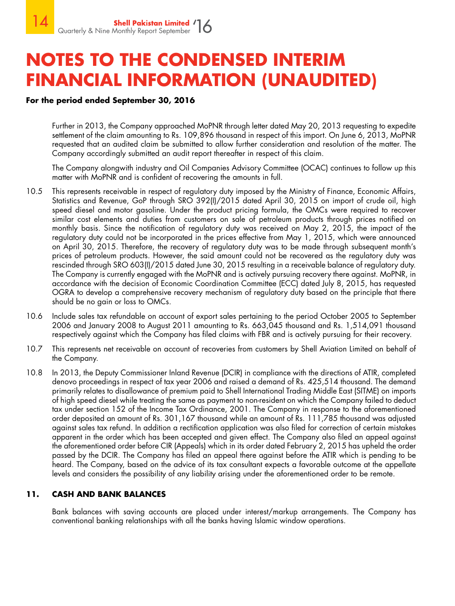### **For the period ended September 30, 2016**

Further in 2013, the Company approached MoPNR through letter dated May 20, 2013 requesting to expedite settlement of the claim amounting to Rs. 109,896 thousand in respect of this import. On June 6, 2013, MoPNR requested that an audited claim be submitted to allow further consideration and resolution of the matter. The Company accordingly submitted an audit report thereafter in respect of this claim.

The Company alongwith industry and Oil Companies Advisory Committee (OCAC) continues to follow up this matter with MoPNR and is confident of recovering the amounts in full.

- 10.5 This represents receivable in respect of regulatory duty imposed by the Ministry of Finance, Economic Affairs, Statistics and Revenue, GoP through SRO 392(I)/2015 dated April 30, 2015 on import of crude oil, high speed diesel and motor gasoline. Under the product pricing formula, the OMCs were required to recover similar cost elements and duties from customers on sale of petroleum products through prices notified on monthly basis. Since the notification of regulatory duty was received on May 2, 2015, the impact of the regulatory duty could not be incorporated in the prices effective from May 1, 2015, which were announced on April 30, 2015. Therefore, the recovery of regulatory duty was to be made through subsequent month's prices of petroleum products. However, the said amount could not be recovered as the regulatory duty was rescinded through SRO 603(I)/2015 dated June 30, 2015 resulting in a receivable balance of regulatory duty. The Company is currently engaged with the MoPNR and is actively pursuing recovery there against. MoPNR, in accordance with the decision of Economic Coordination Committee (ECC) dated July 8, 2015, has requested OGRA to develop a comprehensive recovery mechanism of regulatory duty based on the principle that there should be no gain or loss to OMCs.
- 10.6 Include sales tax refundable on account of export sales pertaining to the period October 2005 to September 2006 and January 2008 to August 2011 amounting to Rs. 663,045 thousand and Rs. 1,514,091 thousand respectively against which the Company has filed claims with FBR and is actively pursuing for their recovery.
- 10.7 This represents net receivable on account of recoveries from customers by Shell Aviation Limited on behalf of the Company.
- 10.8 In 2013, the Deputy Commissioner Inland Revenue (DCIR) in compliance with the directions of ATIR, completed denovo proceedings in respect of tax year 2006 and raised a demand of Rs. 425,514 thousand. The demand primarily relates to disallowance of premium paid to Shell International Trading Middle East (SITME) on imports of high speed diesel while treating the same as payment to non-resident on which the Company failed to deduct tax under section 152 of the Income Tax Ordinance, 2001. The Company in response to the aforementioned order deposited an amount of Rs. 301,167 thousand while an amount of Rs. 111,785 thousand was adjusted against sales tax refund. In addition a rectification application was also filed for correction of certain mistakes apparent in the order which has been accepted and given effect. The Company also filed an appeal against the aforementioned order before CIR (Appeals) which in its order dated February 2, 2015 has upheld the order passed by the DCIR. The Company has filed an appeal there against before the ATIR which is pending to be heard. The Company, based on the advice of its tax consultant expects a favorable outcome at the appellate levels and considers the possibility of any liability arising under the aforementioned order to be remote.

### **11. CASH AND BANK BALANCES**

Bank balances with saving accounts are placed under interest/markup arrangements. The Company has conventional banking relationships with all the banks having Islamic window operations.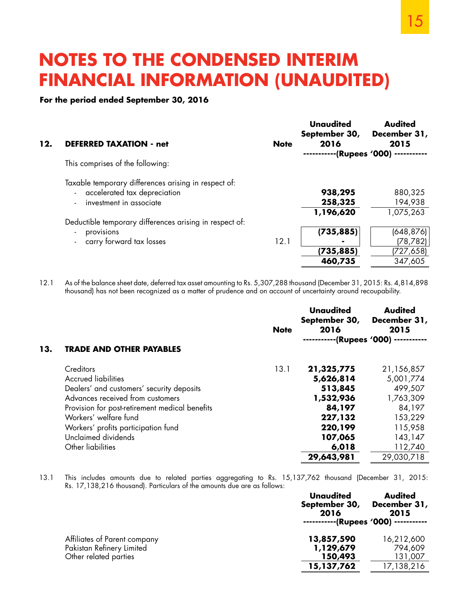#### **For the period ended September 30, 2016**

| 12. | <b>DEFERRED TAXATION - net</b>                                                                                    | <b>Note</b> | Unaudited<br>September 30,<br>2016<br>-(Rupees '000) -- | <b>Audited</b><br>December 31,<br>2015          |
|-----|-------------------------------------------------------------------------------------------------------------------|-------------|---------------------------------------------------------|-------------------------------------------------|
|     | This comprises of the following:                                                                                  |             |                                                         |                                                 |
|     | Taxable temporary differences arising in respect of:<br>- accelerated tax depreciation<br>investment in associate |             | 938,295<br>258,325                                      | 880,325<br>194,938                              |
|     |                                                                                                                   |             | 1,196,620                                               | 1,075,263                                       |
|     | Deductible temporary differences arising in respect of:<br>provisions<br>- carry forward tax losses               | 12.1        | (735, 885)<br>(735, 885)<br>460,735                     | (648, 876)<br>(78, 782)<br>(727,658)<br>347,605 |

12.1 As of the balance sheet date, deferred tax asset amounting to Rs. 5,307,288 thousand (December 31, 2015: Rs. 4,814,898 thousand) has not been recognized as a matter of prudence and on account of uncertainty around recoupability.

|     |                                                | <b>Note</b> | <b>Unaudited</b><br>September 30,<br>2016 | <b>Audited</b><br>December 31,<br>2015 |
|-----|------------------------------------------------|-------------|-------------------------------------------|----------------------------------------|
| 13. | <b>TRADE AND OTHER PAYABLES</b>                |             |                                           | -(Rupees '000) --·                     |
|     | Creditors                                      | 13.1        | 21,325,775                                | 21,156,857                             |
|     | <b>Accrued liabilities</b>                     |             | 5,626,814                                 | 5,001,774                              |
|     | Dealers' and customers' security deposits      |             | 513,845                                   | 499,507                                |
|     | Advances received from customers               |             | 1,532,936                                 | 1,763,309                              |
|     | Provision for post-retirement medical benefits |             | 84,197                                    | 84,197                                 |
|     | Workers' welfare fund                          |             | 227,132                                   | 153,229                                |
|     | Workers' profits participation fund            |             | 220,199                                   | 115,958                                |
|     | Unclaimed dividends                            |             | 107,065                                   | 143,147                                |
|     | Other liabilities                              |             | 6,018                                     | 112,740                                |
|     |                                                |             | 29,643,981                                | 29,030,718                             |

13.1 This includes amounts due to related parties aggregating to Rs. 15,137,762 thousand (December 31, 2015: Rs. 17,138,216 thousand). Particulars of the amounts due are as follows:

| Unaudited<br>September 30,<br>2016 | <b>Audited</b><br>December 31,<br>2015 |
|------------------------------------|----------------------------------------|
|                                    |                                        |
| 13,857,590                         | 16,212,600                             |
| 1,129,679                          | 794,609                                |
| 150,493                            | 131,007                                |
| 15,137,762                         | 17,138,216                             |
|                                    | -----------(Rupees '000) -----------   |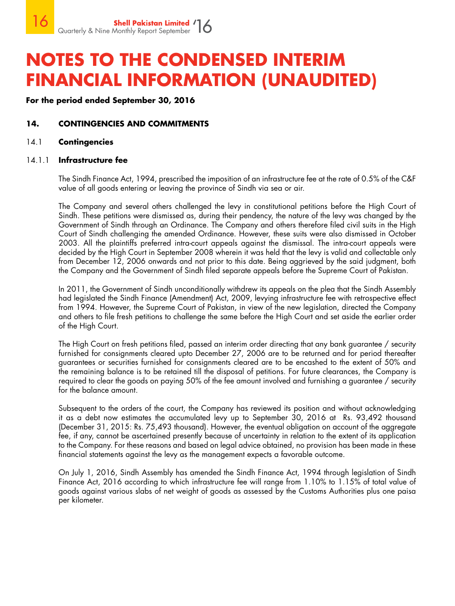**For the period ended September 30, 2016**

### **14. CONTINGENCIES AND COMMITMENTS**

#### 14.1 **Contingencies**

#### 14.1.1 **Infrastructure fee**

The Sindh Finance Act, 1994, prescribed the imposition of an infrastructure fee at the rate of 0.5% of the C&F value of all goods entering or leaving the province of Sindh via sea or air.

The Company and several others challenged the levy in constitutional petitions before the High Court of Sindh. These petitions were dismissed as, during their pendency, the nature of the levy was changed by the Government of Sindh through an Ordinance. The Company and others therefore filed civil suits in the High Court of Sindh challenging the amended Ordinance. However, these suits were also dismissed in October 2003. All the plaintiffs preferred intra-court appeals against the dismissal. The intra-court appeals were decided by the High Court in September 2008 wherein it was held that the levy is valid and collectable only from December 12, 2006 onwards and not prior to this date. Being aggrieved by the said judgment, both the Company and the Government of Sindh filed separate appeals before the Supreme Court of Pakistan.

In 2011, the Government of Sindh unconditionally withdrew its appeals on the plea that the Sindh Assembly had legislated the Sindh Finance (Amendment) Act, 2009, levying infrastructure fee with retrospective effect from 1994. However, the Supreme Court of Pakistan, in view of the new legislation, directed the Company and others to file fresh petitions to challenge the same before the High Court and set aside the earlier order of the High Court.

The High Court on fresh petitions filed, passed an interim order directing that any bank guarantee / security furnished for consignments cleared upto December 27, 2006 are to be returned and for period thereafter guarantees or securities furnished for consignments cleared are to be encashed to the extent of 50% and the remaining balance is to be retained till the disposal of petitions. For future clearances, the Company is required to clear the goods on paying 50% of the fee amount involved and furnishing a guarantee / security for the balance amount.

Subsequent to the orders of the court, the Company has reviewed its position and without acknowledging it as a debt now estimates the accumulated levy up to September 30, 2016 at Rs. 93,492 thousand (December 31, 2015: Rs. 75,493 thousand). However, the eventual obligation on account of the aggregate fee, if any, cannot be ascertained presently because of uncertainty in relation to the extent of its application to the Company. For these reasons and based on legal advice obtained, no provision has been made in these financial statements against the levy as the management expects a favorable outcome.

On July 1, 2016, Sindh Assembly has amended the Sindh Finance Act, 1994 through legislation of Sindh Finance Act, 2016 according to which infrastructure fee will range from 1.10% to 1.15% of total value of goods against various slabs of net weight of goods as assessed by the Customs Authorities plus one paisa per kilometer.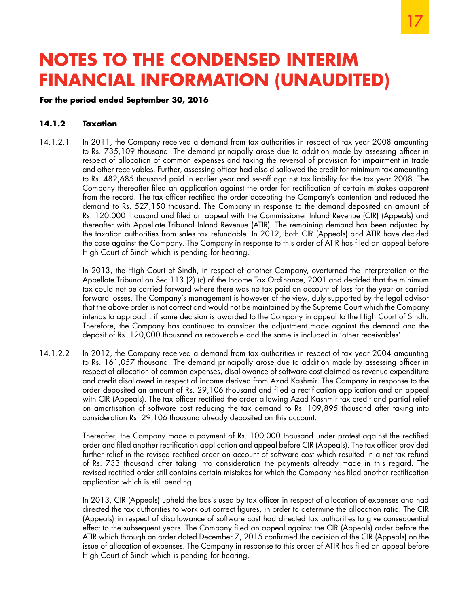### **For the period ended September 30, 2016**

#### **14.1.2 Taxation**

14.1.2.1 In 2011, the Company received a demand from tax authorities in respect of tax year 2008 amounting to Rs. 735,109 thousand. The demand principally arose due to addition made by assessing officer in respect of allocation of common expenses and taxing the reversal of provision for impairment in trade and other receivables. Further, assessing officer had also disallowed the credit for minimum tax amounting to Rs. 482,685 thousand paid in earlier year and set-off against tax liability for the tax year 2008. The Company thereafter filed an application against the order for rectification of certain mistakes apparent from the record. The tax officer rectified the order accepting the Company's contention and reduced the demand to Rs. 527,150 thousand. The Company in response to the demand deposited an amount of Rs. 120,000 thousand and filed an appeal with the Commissioner Inland Revenue (CIR) (Appeals) and thereafter with Appellate Tribunal Inland Revenue (ATIR). The remaining demand has been adjusted by the taxation authorities from sales tax refundable. In 2012, both CIR (Appeals) and ATIR have decided the case against the Company. The Company in response to this order of ATIR has filed an appeal before High Court of Sindh which is pending for hearing.

> In 2013, the High Court of Sindh, in respect of another Company, overturned the interpretation of the Appellate Tribunal on Sec 113 (2) (c) of the Income Tax Ordinance, 2001 and decided that the minimum tax could not be carried forward where there was no tax paid on account of loss for the year or carried forward losses. The Company's management is however of the view, duly supported by the legal advisor that the above order is not correct and would not be maintained by the Supreme Court which the Company intends to approach, if same decision is awarded to the Company in appeal to the High Court of Sindh. Therefore, the Company has continued to consider the adjustment made against the demand and the deposit of Rs. 120,000 thousand as recoverable and the same is included in 'other receivables'.

14.1.2.2 In 2012, the Company received a demand from tax authorities in respect of tax year 2004 amounting to Rs. 161,057 thousand. The demand principally arose due to addition made by assessing officer in respect of allocation of common expenses, disallowance of software cost claimed as revenue expenditure and credit disallowed in respect of income derived from Azad Kashmir. The Company in response to the order deposited an amount of Rs. 29,106 thousand and filed a rectification application and an appeal with CIR (Appeals). The tax officer rectified the order allowing Azad Kashmir tax credit and partial relief on amortisation of software cost reducing the tax demand to Rs. 109,895 thousand after taking into consideration Rs. 29,106 thousand already deposited on this account.

> Thereafter, the Company made a payment of Rs. 100,000 thousand under protest against the rectified order and filed another rectification application and appeal before CIR (Appeals). The tax officer provided further relief in the revised rectified order on account of software cost which resulted in a net tax refund of Rs. 733 thousand after taking into consideration the payments already made in this regard. The revised rectified order still contains certain mistakes for which the Company has filed another rectification application which is still pending.

> In 2013, CIR (Appeals) upheld the basis used by tax officer in respect of allocation of expenses and had directed the tax authorities to work out correct figures, in order to determine the allocation ratio. The CIR (Appeals) in respect of disallowance of software cost had directed tax authorities to give consequential effect to the subsequent years. The Company filed an appeal against the CIR (Appeals) order before the ATIR which through an order dated December 7, 2015 confirmed the decision of the CIR (Appeals) on the issue of allocation of expenses. The Company in response to this order of ATIR has filed an appeal before High Court of Sindh which is pending for hearing.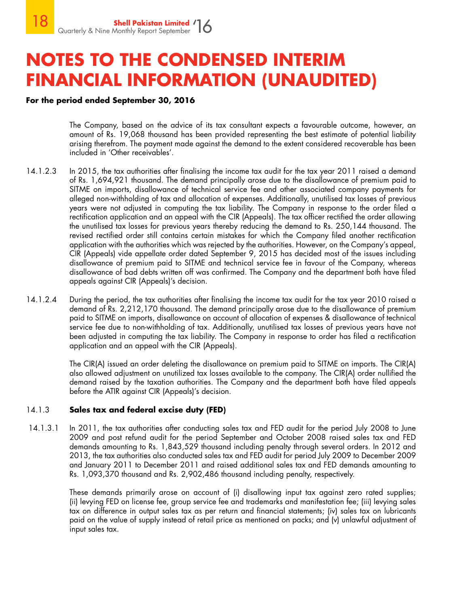### **For the period ended September 30, 2016**

The Company, based on the advice of its tax consultant expects a favourable outcome, however, an amount of Rs. 19,068 thousand has been provided representing the best estimate of potential liability arising therefrom. The payment made against the demand to the extent considered recoverable has been included in 'Other receivables'.

- 14.1.2.3 In 2015, the tax authorities after finalising the income tax audit for the tax year 2011 raised a demand of Rs. 1,694,921 thousand. The demand principally arose due to the disallowance of premium paid to SITME on imports, disallowance of technical service fee and other associated company payments for alleged non-withholding of tax and allocation of expenses. Additionally, unutilised tax losses of previous years were not adjusted in computing the tax liability. The Company in response to the order filed a rectification application and an appeal with the CIR (Appeals). The tax officer rectified the order allowing the unutilised tax losses for previous years thereby reducing the demand to Rs. 250,144 thousand. The revised rectified order still contains certain mistakes for which the Company filed another rectification application with the authorities which was rejected by the authorities. However, on the Company's appeal, CIR (Appeals) vide appellate order dated September 9, 2015 has decided most of the issues including disallowance of premium paid to SITME and technical service fee in favour of the Company, whereas disallowance of bad debts written off was confirmed. The Company and the department both have filed appeals against CIR (Appeals)'s decision.
- 14.1.2.4 During the period, the tax authorities after finalising the income tax audit for the tax year 2010 raised a demand of Rs. 2,212,170 thousand. The demand principally arose due to the disallowance of premium paid to SITME on imports, disallowance on account of allocation of expenses & disallowance of technical service fee due to non-withholding of tax. Additionally, unutilised tax losses of previous years have not been adjusted in computing the tax liability. The Company in response to order has filed a rectification application and an appeal with the CIR (Appeals).

 The CIR(A) issued an order deleting the disallowance on premium paid to SITME on imports. The CIR(A) also allowed adjustment on unutilized tax losses available to the company. The CIR(A) order nullified the demand raised by the taxation authorities. The Company and the department both have filed appeals before the ATIR against CIR (Appeals)'s decision.

### 14.1.3 **Sales tax and federal excise duty (FED)**

 14.1.3.1 In 2011, the tax authorities after conducting sales tax and FED audit for the period July 2008 to June 2009 and post refund audit for the period September and October 2008 raised sales tax and FED demands amounting to Rs. 1,843,529 thousand including penalty through several orders. In 2012 and 2013, the tax authorities also conducted sales tax and FED audit for period July 2009 to December 2009 and January 2011 to December 2011 and raised additional sales tax and FED demands amounting to Rs. 1,093,370 thousand and Rs. 2,902,486 thousand including penalty, respectively.

> These demands primarily arose on account of (i) disallowing input tax against zero rated supplies; (ii) levying FED on license fee, group service fee and trademarks and manifestation fee; (iii) levying sales tax on difference in output sales tax as per return and financial statements; (iv) sales tax on lubricants paid on the value of supply instead of retail price as mentioned on packs; and (v) unlawful adjustment of input sales tax.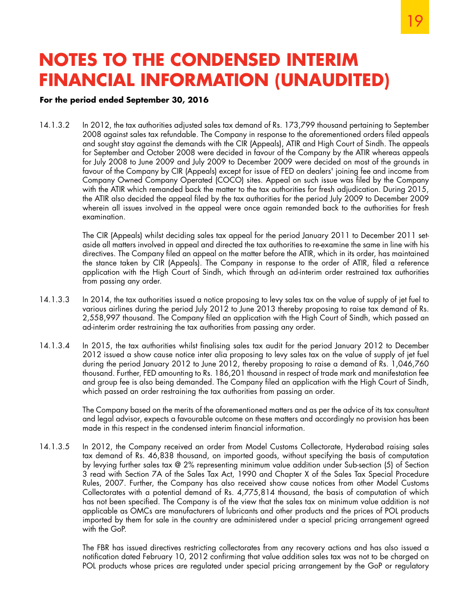### **For the period ended September 30, 2016**

14.1.3.2 In 2012, the tax authorities adjusted sales tax demand of Rs. 173,799 thousand pertaining to September 2008 against sales tax refundable. The Company in response to the aforementioned orders filed appeals and sought stay against the demands with the CIR (Appeals), ATIR and High Court of Sindh. The appeals for September and October 2008 were decided in favour of the Company by the ATIR whereas appeals for July 2008 to June 2009 and July 2009 to December 2009 were decided on most of the grounds in favour of the Company by CIR (Appeals) except for issue of FED on dealers' joining fee and income from Company Owned Company Operated (COCO) sites. Appeal on such issue was filed by the Company with the ATIR which remanded back the matter to the tax authorities for fresh adjudication. During 2015, the ATIR also decided the appeal filed by the tax authorities for the period July 2009 to December 2009 wherein all issues involved in the appeal were once again remanded back to the authorities for fresh examination.

> The CIR (Appeals) whilst deciding sales tax appeal for the period January 2011 to December 2011 setaside all matters involved in appeal and directed the tax authorities to re-examine the same in line with his directives. The Company filed an appeal on the matter before the ATIR, which in its order, has maintained the stance taken by CIR (Appeals). The Company in response to the order of ATIR, filed a reference application with the High Court of Sindh, which through an ad-interim order restrained tax authorities from passing any order.

- 14.1.3.3 In 2014, the tax authorities issued a notice proposing to levy sales tax on the value of supply of jet fuel to various airlines during the period July 2012 to June 2013 thereby proposing to raise tax demand of Rs. 2,558,997 thousand. The Company filed an application with the High Court of Sindh, which passed an ad-interim order restraining the tax authorities from passing any order.
- 14.1.3.4 In 2015, the tax authorities whilst finalising sales tax audit for the period January 2012 to December 2012 issued a show cause notice inter alia proposing to levy sales tax on the value of supply of jet fuel during the period January 2012 to June 2012, thereby proposing to raise a demand of Rs. 1,046,760 thousand. Further, FED amounting to Rs. 186,201 thousand in respect of trade mark and manifestation fee and group fee is also being demanded. The Company filed an application with the High Court of Sindh, which passed an order restraining the tax authorities from passing an order.

The Company based on the merits of the aforementioned matters and as per the advice of its tax consultant and legal advisor, expects a favourable outcome on these matters and accordingly no provision has been made in this respect in the condensed interim financial information.

14.1.3.5 In 2012, the Company received an order from Model Customs Collectorate, Hyderabad raising sales tax demand of Rs. 46,838 thousand, on imported goods, without specifying the basis of computation by levying further sales tax @ 2% representing minimum value addition under Sub-section (5) of Section 3 read with Section 7A of the Sales Tax Act, 1990 and Chapter X of the Sales Tax Special Procedure Rules, 2007. Further, the Company has also received show cause notices from other Model Customs Collectorates with a potential demand of Rs. 4,775,814 thousand, the basis of computation of which has not been specified. The Company is of the view that the sales tax on minimum value addition is not applicable as OMCs are manufacturers of lubricants and other products and the prices of POL products imported by them for sale in the country are administered under a special pricing arrangement agreed with the GoP.

> The FBR has issued directives restricting collectorates from any recovery actions and has also issued a notification dated February 10, 2012 confirming that value addition sales tax was not to be charged on POL products whose prices are regulated under special pricing arrangement by the GoP or regulatory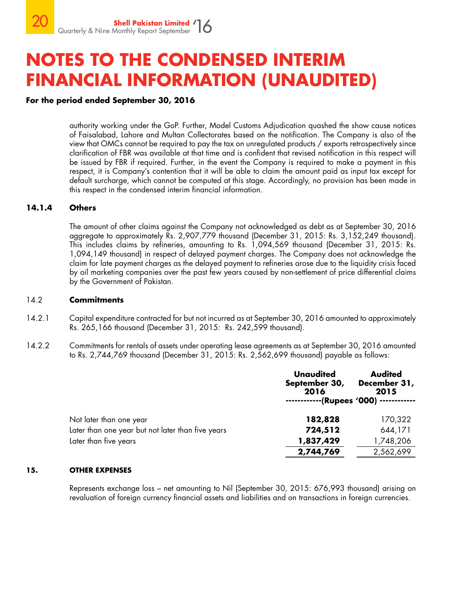### **For the period ended September 30, 2016**

authority working under the GoP. Further, Model Customs Adjudication quashed the show cause notices of Faisalabad, Lahore and Multan Collectorates based on the notification. The Company is also of the view that OMCs cannot be required to pay the tax on unregulated products / exports retrospectively since clarification of FBR was available at that time and is confident that revised notification in this respect will be issued by FBR if required. Further, in the event the Company is required to make a payment in this respect, it is Company's contention that it will be able to claim the amount paid as input tax except for default surcharge, which cannot be computed at this stage. Accordingly, no provision has been made in this respect in the condensed interim financial information.

#### **14.1.4 Others**

The amount of other claims against the Company not acknowledged as debt as at September 30, 2016 aggregate to approximately Rs. 2,907,779 thousand (December 31, 2015: Rs. 3,152,249 thousand). This includes claims by refineries, amounting to Rs. 1,094,569 thousand (December 31, 2015: Rs. 1,094,149 thousand) in respect of delayed payment charges. The Company does not acknowledge the claim for late payment charges as the delayed payment to refineries arose due to the liquidity crisis faced by oil marketing companies over the past few years caused by non-settlement of price differential claims by the Government of Pakistan.

#### 14.2 **Commitments**

- 14.2.1 Capital expenditure contracted for but not incurred as at September 30, 2016 amounted to approximately Rs. 265,166 thousand (December 31, 2015: Rs. 242,599 thousand).
- 14.2.2 Commitments for rentals of assets under operating lease agreements as at September 30, 2016 amounted to Rs. 2,744,769 thousand (December 31, 2015: Rs. 2,562,699 thousand) payable as follows:

|                                                   | <b>Unaudited</b><br>September 30,<br>2016 | <b>Audited</b><br>December 31,<br>2015<br>(Rupees '000) ----------- |
|---------------------------------------------------|-------------------------------------------|---------------------------------------------------------------------|
| Not later than one year                           | 182,828                                   | 170,322                                                             |
| Later than one year but not later than five years | 724,512                                   | 644,171                                                             |
| Later than five years                             | 1,837,429                                 | 1,748,206                                                           |
|                                                   | 2,744,769                                 | 2,562,699                                                           |

#### **15. OTHER EXPENSES**

Represents exchange loss – net amounting to Nil (September 30, 2015: 676,993 thousand) arising on revaluation of foreign currency financial assets and liabilities and on transactions in foreign currencies.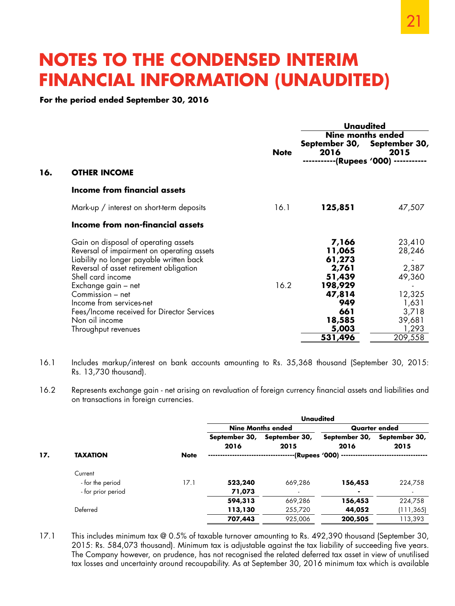**For the period ended September 30, 2016**

|     |                                                                                                                                                                                                                                                                                                                                                              | <b>Note</b> | Unaudited<br><b>Nine months ended</b><br>September 30, September 30,<br>2016<br>2015<br>-(Rupees '000) -      |                                                                                               |  |
|-----|--------------------------------------------------------------------------------------------------------------------------------------------------------------------------------------------------------------------------------------------------------------------------------------------------------------------------------------------------------------|-------------|---------------------------------------------------------------------------------------------------------------|-----------------------------------------------------------------------------------------------|--|
| 16. | <b>OTHER INCOME</b>                                                                                                                                                                                                                                                                                                                                          |             |                                                                                                               |                                                                                               |  |
|     | Income from financial assets                                                                                                                                                                                                                                                                                                                                 |             |                                                                                                               |                                                                                               |  |
|     | Mark-up / interest on short-term deposits                                                                                                                                                                                                                                                                                                                    | 16.1        | 125,851                                                                                                       | 47,507                                                                                        |  |
|     | Income from non-financial assets                                                                                                                                                                                                                                                                                                                             |             |                                                                                                               |                                                                                               |  |
|     | Gain on disposal of operating assets<br>Reversal of impairment on operating assets<br>Liability no longer payable written back<br>Reversal of asset retirement obligation<br>Shell card income<br>Exchange gain – net<br>Commission - net<br>Income from services-net<br>Fees/Income received for Director Services<br>Non oil income<br>Throughput revenues | 16.2        | 7,166<br>11,065<br>61,273<br>2,761<br>51,439<br>198,929<br>47,814<br>949<br>661<br>18,585<br>5,003<br>531,496 | 23,410<br>28,246<br>2,387<br>49,360<br>12,325<br>1,631<br>3,718<br>39,681<br>1,293<br>209,558 |  |

- 16.1 Includes markup/interest on bank accounts amounting to Rs. 35,368 thousand (September 30, 2015: Rs. 13,730 thousand).
- 16.2 Represents exchange gain net arising on revaluation of foreign currency financial assets and liabilities and on transactions in foreign currencies.

|     |                    |             | <b>Unaudited</b>         |                       |                       |                       |  |
|-----|--------------------|-------------|--------------------------|-----------------------|-----------------------|-----------------------|--|
|     |                    |             | <b>Nine Months ended</b> |                       | Quarter ended         |                       |  |
|     |                    |             | September 30,<br>2016    | September 30,<br>2015 | September 30,<br>2016 | September 30,<br>2015 |  |
| 17. | <b>TAXATION</b>    | <b>Note</b> | -(Rupees '000) --        |                       |                       |                       |  |
|     | Current            |             |                          |                       |                       |                       |  |
|     | - for the period   | 17.1        | 523,240                  | 669,286               | 156,453               | 224,758               |  |
|     | - for prior period |             | 71,073                   |                       | ۰                     |                       |  |
|     |                    |             | 594,313                  | 669,286               | 156,453               | 224,758               |  |
|     | Deferred           |             | 113,130                  | 255,720               | 44,052                | (111,365)             |  |
|     |                    |             | 707,443                  | 925,006               | 200,505               | 113,393               |  |
|     |                    |             |                          |                       |                       |                       |  |

17.1 This includes minimum tax @ 0.5% of taxable turnover amounting to Rs. 492,390 thousand (September 30, 2015: Rs. 584,073 thousand). Minimum tax is adjustable against the tax liability of succeeding five years. The Company however, on prudence, has not recognised the related deferred tax asset in view of unutilised tax losses and uncertainty around recoupability. As at September 30, 2016 minimum tax which is available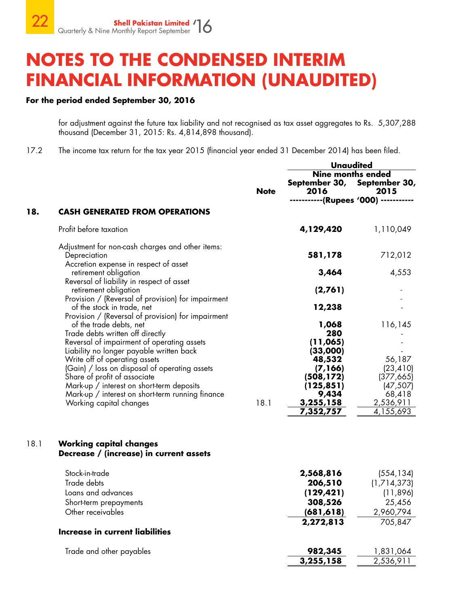### **For the period ended September 30, 2016**

for adjustment against the future tax liability and not recognised as tax asset aggregates to Rs. 5,307,288 thousand (December 31, 2015: Rs. 4,814,898 thousand).

17.2 The income tax return for the tax year 2015 (financial year ended 31 December 2014) has been filed.

|      |                                                                                                                            |             | <b>Unaudited</b>                    |                                                                                             |  |
|------|----------------------------------------------------------------------------------------------------------------------------|-------------|-------------------------------------|---------------------------------------------------------------------------------------------|--|
|      |                                                                                                                            | <b>Note</b> | 2016<br>--------                    | <b>Nine months ended</b><br>September 30, September 30,<br>2015<br>---(Rupees '000) ------- |  |
| 18.  | <b>CASH GENERATED FROM OPERATIONS</b>                                                                                      |             |                                     |                                                                                             |  |
|      | Profit before taxation                                                                                                     |             | 4,129,420                           | 1,110,049                                                                                   |  |
|      | Adjustment for non-cash charges and other items:<br>Depreciation<br>Accretion expense in respect of asset                  |             | 581,178                             | 712,012                                                                                     |  |
|      | retirement obligation                                                                                                      |             | 3,464                               | 4,553                                                                                       |  |
|      | Reversal of liability in respect of asset<br>retirement obligation<br>Provision / (Reversal of provision) for impairment   |             | (2,761)                             |                                                                                             |  |
|      | of the stock in trade, net                                                                                                 |             | 12,238                              |                                                                                             |  |
|      | Provision / (Reversal of provision) for impairment<br>of the trade debts, net<br>Trade debts written off directly          |             | 1,068<br>280                        | 116,145                                                                                     |  |
|      | Reversal of impairment of operating assets<br>Liability no longer payable written back<br>Write off of operating assets    |             | (11,065)<br>(33,000)<br>48,532      | 56,187                                                                                      |  |
|      | (Gain) / loss on disposal of operating assets<br>Share of profit of associate<br>Mark-up / interest on short-term deposits |             | (7,166)<br>(508, 172)<br>(125, 851) | (23, 410)<br>(377, 665)<br>(47, 507)                                                        |  |
|      | Mark-up / interest on short-term running finance<br>Working capital changes                                                | 18.1        | 9,434<br>3,255,158<br>7,352,757     | 68,418<br>2,536,911<br>4,155,693                                                            |  |
|      |                                                                                                                            |             |                                     |                                                                                             |  |
| 18.1 | <b>Working capital changes</b><br>Decrease / (increase) in current assets                                                  |             |                                     |                                                                                             |  |
|      | Stock-in-trade                                                                                                             |             | 2,568,816                           | (554, 134)                                                                                  |  |
|      | Trade debts                                                                                                                |             | 206,510                             | (1,714,373)                                                                                 |  |
|      | Loans and advances                                                                                                         |             | (129, 421)                          | (11, 896)                                                                                   |  |
|      | Short-term prepayments                                                                                                     |             | 308,526                             | 25,456                                                                                      |  |
|      | Other receivables                                                                                                          |             | (681, 618)                          | 2,960,794                                                                                   |  |
|      | <b>Increase in current liabilities</b>                                                                                     |             | 2,272,813                           | 705,847                                                                                     |  |
|      |                                                                                                                            |             |                                     |                                                                                             |  |
|      | Trade and other payables                                                                                                   |             | 982,345                             | 1,831,064                                                                                   |  |
|      |                                                                                                                            |             | 3,255,158                           | 2,536,911                                                                                   |  |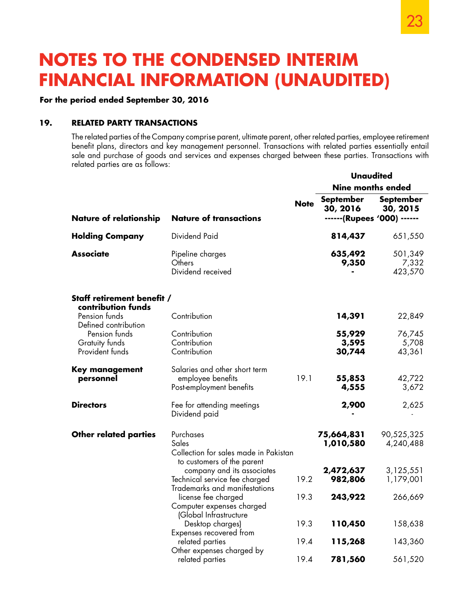### **For the period ended September 30, 2016**

### **19. RELATED PARTY TRANSACTIONS**

The related parties of the Company comprise parent, ultimate parent, other related parties, employee retirement benefit plans, directors and key management personnel. Transactions with related parties essentially entail sale and purchase of goods and services and expenses charged between these parties. Transactions with related parties are as follows:

|                                                    |                                                                                              |             | Unaudited                                                   |                              |  |
|----------------------------------------------------|----------------------------------------------------------------------------------------------|-------------|-------------------------------------------------------------|------------------------------|--|
|                                                    |                                                                                              |             | <b>Nine months ended</b>                                    |                              |  |
| <b>Nature of relationship</b>                      | <b>Nature of transactions</b>                                                                | <b>Note</b> | <b>September</b><br>30, 2016<br>------ (Rupees '000) ------ | <b>September</b><br>30, 2015 |  |
| <b>Holding Company</b>                             | Dividend Paid                                                                                |             | 814,437                                                     | 651,550                      |  |
| <b>Associate</b>                                   | Pipeline charges<br>Others<br>Dividend received                                              |             | 635,492<br>9,350                                            | 501,349<br>7,332<br>423,570  |  |
| Staff retirement benefit /<br>contribution funds   |                                                                                              |             |                                                             |                              |  |
| Pension funds<br>Defined contribution              | Contribution                                                                                 |             | 14,391                                                      | 22,849                       |  |
| Pension funds<br>Gratuity funds<br>Provident funds | Contribution<br>Contribution<br>Contribution                                                 |             | 55,929<br>3,595<br>30,744                                   | 76,745<br>5,708<br>43,361    |  |
| <b>Key management</b><br>personnel                 | Salaries and other short term<br>employee benefits<br>Post-employment benefits               | 19.1        | 55,853<br>4,555                                             | 42,722<br>3,672              |  |
| <b>Directors</b>                                   | Fee for attending meetings<br>Dividend paid                                                  |             | 2,900                                                       | 2,625                        |  |
| <b>Other related parties</b>                       | Purchases<br>Sales<br>Collection for sales made in Pakistan<br>to customers of the parent    |             | 75,664,831<br>1,010,580                                     | 90,525,325<br>4,240,488      |  |
|                                                    | company and its associates<br>Technical service fee charged<br>Trademarks and manifestations | 19.2        | 2,472,637<br>982,806                                        | 3,125,551<br>1,179,001       |  |
|                                                    | license fee charged<br>Computer expenses charged                                             | 19.3        | 243,922                                                     | 266,669                      |  |
|                                                    | (Global Infrastructure<br>Desktop charges)<br>Expenses recovered from                        | 19.3        | 110,450                                                     | 158,638                      |  |
|                                                    | related parties<br>Other expenses charged by                                                 | 19.4        | 115,268                                                     | 143,360                      |  |
|                                                    | related parties                                                                              | 19.4        | 781,560                                                     | 561,520                      |  |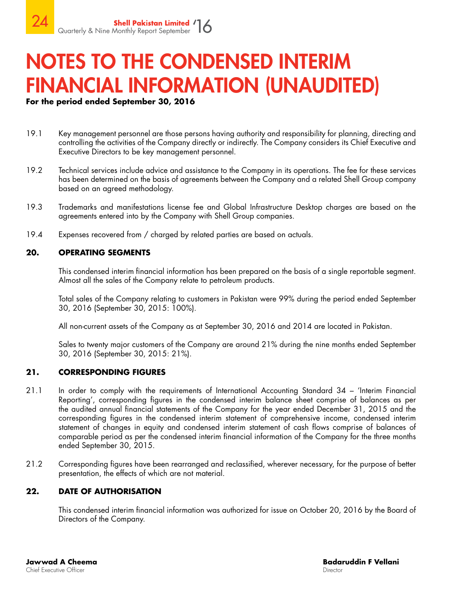### **For the period ended September 30, 2016**

- 19.1 Key management personnel are those persons having authority and responsibility for planning, directing and controlling the activities of the Company directly or indirectly. The Company considers its Chief Executive and Executive Directors to be key management personnel.
- 19.2 Technical services include advice and assistance to the Company in its operations. The fee for these services has been determined on the basis of agreements between the Company and a related Shell Group company based on an agreed methodology.
- 19.3 Trademarks and manifestations license fee and Global Infrastructure Desktop charges are based on the agreements entered into by the Company with Shell Group companies.
- 19.4 Expenses recovered from / charged by related parties are based on actuals.

### **20. OPERATING SEGMENTS**

This condensed interim financial information has been prepared on the basis of a single reportable segment. Almost all the sales of the Company relate to petroleum products.

Total sales of the Company relating to customers in Pakistan were 99% during the period ended September 30, 2016 (September 30, 2015: 100%).

All non-current assets of the Company as at September 30, 2016 and 2014 are located in Pakistan.

Sales to twenty major customers of the Company are around 21% during the nine months ended September 30, 2016 (September 30, 2015: 21%).

### **21. CORRESPONDING FIGURES**

- 21.1 In order to comply with the requirements of International Accounting Standard 34 'Interim Financial Reporting', corresponding figures in the condensed interim balance sheet comprise of balances as per the audited annual financial statements of the Company for the year ended December 31, 2015 and the corresponding figures in the condensed interim statement of comprehensive income, condensed interim statement of changes in equity and condensed interim statement of cash flows comprise of balances of comparable period as per the condensed interim financial information of the Company for the three months ended September 30, 2015.
- 21.2 Corresponding figures have been rearranged and reclassified, wherever necessary, for the purpose of better presentation, the effects of which are not material.

### **22. DATE OF AUTHORISATION**

This condensed interim financial information was authorized for issue on October 20, 2016 by the Board of Directors of the Company.